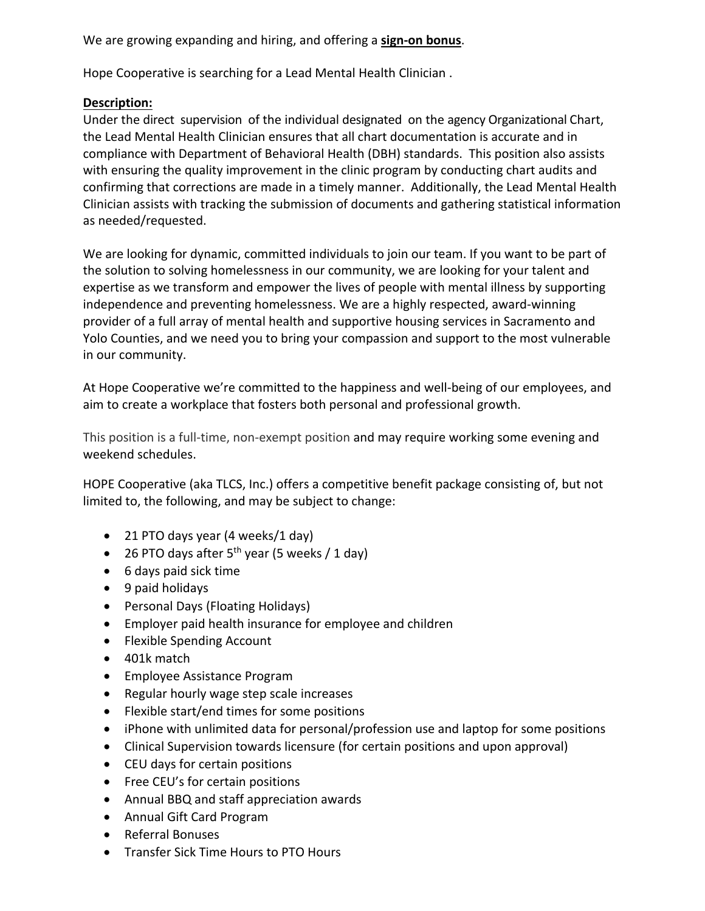We are growing expanding and hiring, and offering a **sign-on bonus**.

Hope Cooperative is searching for a Lead Mental Health Clinician .

## **Description:**

Under the direct supervision of the individual designated on the agency Organizational Chart, the Lead Mental Health Clinician ensures that all chart documentation is accurate and in compliance with Department of Behavioral Health (DBH) standards. This position also assists with ensuring the quality improvement in the clinic program by conducting chart audits and confirming that corrections are made in a timely manner. Additionally, the Lead Mental Health Clinician assists with tracking the submission of documents and gathering statistical information as needed/requested.

We are looking for dynamic, committed individuals to join our team. If you want to be part of the solution to solving homelessness in our community, we are looking for your talent and expertise as we transform and empower the lives of people with mental illness by supporting independence and preventing homelessness. We are a highly respected, award-winning provider of a full array of mental health and supportive housing services in Sacramento and Yolo Counties, and we need you to bring your compassion and support to the most vulnerable in our community.

At Hope Cooperative we're committed to the happiness and well-being of our employees, and aim to create a workplace that fosters both personal and professional growth.

This position is a full-time, non-exempt position and may require working some evening and weekend schedules.

HOPE Cooperative (aka TLCS, Inc.) offers a competitive benefit package consisting of, but not limited to, the following, and may be subject to change:

- 21 PTO days year (4 weeks/1 day)
- 26 PTO days after  $5^{th}$  year (5 weeks / 1 day)
- 6 days paid sick time
- 9 paid holidays
- Personal Days (Floating Holidays)
- Employer paid health insurance for employee and children
- Flexible Spending Account
- 401k match
- Employee Assistance Program
- Regular hourly wage step scale increases
- Flexible start/end times for some positions
- iPhone with unlimited data for personal/profession use and laptop for some positions
- Clinical Supervision towards licensure (for certain positions and upon approval)
- CEU days for certain positions
- Free CEU's for certain positions
- Annual BBQ and staff appreciation awards
- Annual Gift Card Program
- Referral Bonuses
- Transfer Sick Time Hours to PTO Hours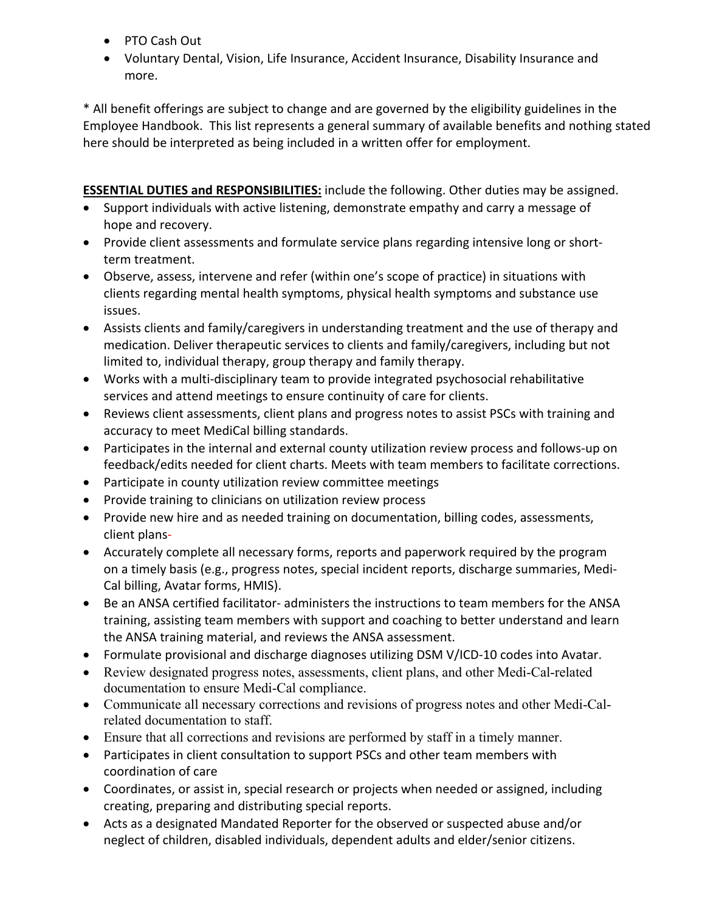- PTO Cash Out
- Voluntary Dental, Vision, Life Insurance, Accident Insurance, Disability Insurance and more.

\* All benefit offerings are subject to change and are governed by the eligibility guidelines in the Employee Handbook. This list represents a general summary of available benefits and nothing stated here should be interpreted as being included in a written offer for employment.

**ESSENTIAL DUTIES and RESPONSIBILITIES:** include the following. Other duties may be assigned.

- Support individuals with active listening, demonstrate empathy and carry a message of hope and recovery.
- Provide client assessments and formulate service plans regarding intensive long or shortterm treatment.
- Observe, assess, intervene and refer (within one's scope of practice) in situations with clients regarding mental health symptoms, physical health symptoms and substance use issues.
- Assists clients and family/caregivers in understanding treatment and the use of therapy and medication. Deliver therapeutic services to clients and family/caregivers, including but not limited to, individual therapy, group therapy and family therapy.
- Works with a multi-disciplinary team to provide integrated psychosocial rehabilitative services and attend meetings to ensure continuity of care for clients.
- Reviews client assessments, client plans and progress notes to assist PSCs with training and accuracy to meet MediCal billing standards.
- Participates in the internal and external county utilization review process and follows-up on feedback/edits needed for client charts. Meets with team members to facilitate corrections.
- Participate in county utilization review committee meetings
- Provide training to clinicians on utilization review process
- Provide new hire and as needed training on documentation, billing codes, assessments, client plans-
- Accurately complete all necessary forms, reports and paperwork required by the program on a timely basis (e.g., progress notes, special incident reports, discharge summaries, Medi-Cal billing, Avatar forms, HMIS).
- Be an ANSA certified facilitator- administers the instructions to team members for the ANSA training, assisting team members with support and coaching to better understand and learn the ANSA training material, and reviews the ANSA assessment.
- Formulate provisional and discharge diagnoses utilizing DSM V/ICD-10 codes into Avatar.
- Review designated progress notes, assessments, client plans, and other Medi-Cal-related documentation to ensure Medi-Cal compliance.
- Communicate all necessary corrections and revisions of progress notes and other Medi-Calrelated documentation to staff.
- Ensure that all corrections and revisions are performed by staff in a timely manner.
- Participates in client consultation to support PSCs and other team members with coordination of care
- Coordinates, or assist in, special research or projects when needed or assigned, including creating, preparing and distributing special reports.
- Acts as a designated Mandated Reporter for the observed or suspected abuse and/or neglect of children, disabled individuals, dependent adults and elder/senior citizens.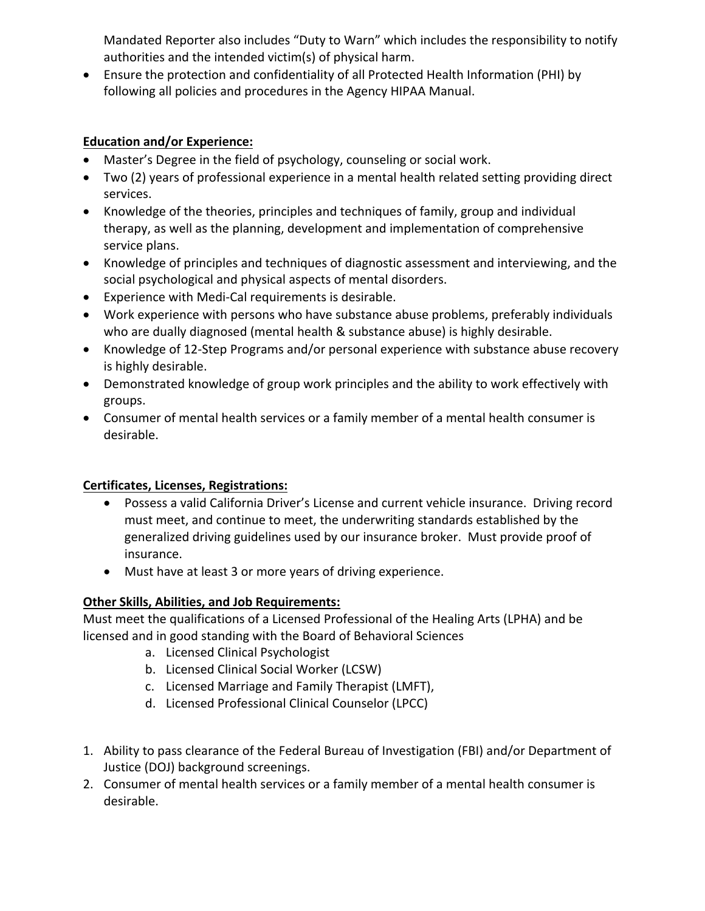Mandated Reporter also includes "Duty to Warn" which includes the responsibility to notify authorities and the intended victim(s) of physical harm.

• Ensure the protection and confidentiality of all Protected Health Information (PHI) by following all policies and procedures in the Agency HIPAA Manual.

## **Education and/or Experience:**

- Master's Degree in the field of psychology, counseling or social work.
- Two (2) years of professional experience in a mental health related setting providing direct services.
- Knowledge of the theories, principles and techniques of family, group and individual therapy, as well as the planning, development and implementation of comprehensive service plans.
- Knowledge of principles and techniques of diagnostic assessment and interviewing, and the social psychological and physical aspects of mental disorders.
- Experience with Medi-Cal requirements is desirable.
- Work experience with persons who have substance abuse problems, preferably individuals who are dually diagnosed (mental health & substance abuse) is highly desirable.
- Knowledge of 12-Step Programs and/or personal experience with substance abuse recovery is highly desirable.
- Demonstrated knowledge of group work principles and the ability to work effectively with groups.
- Consumer of mental health services or a family member of a mental health consumer is desirable.

## **Certificates, Licenses, Registrations:**

- Possess a valid California Driver's License and current vehicle insurance. Driving record must meet, and continue to meet, the underwriting standards established by the generalized driving guidelines used by our insurance broker. Must provide proof of insurance.
- Must have at least 3 or more years of driving experience.

## **Other Skills, Abilities, and Job Requirements:**

Must meet the qualifications of a Licensed Professional of the Healing Arts (LPHA) and be licensed and in good standing with the Board of Behavioral Sciences

- a. Licensed Clinical Psychologist
- b. Licensed Clinical Social Worker (LCSW)
- c. Licensed Marriage and Family Therapist (LMFT),
- d. Licensed Professional Clinical Counselor (LPCC)
- 1. Ability to pass clearance of the Federal Bureau of Investigation (FBI) and/or Department of Justice (DOJ) background screenings.
- 2. Consumer of mental health services or a family member of a mental health consumer is desirable.